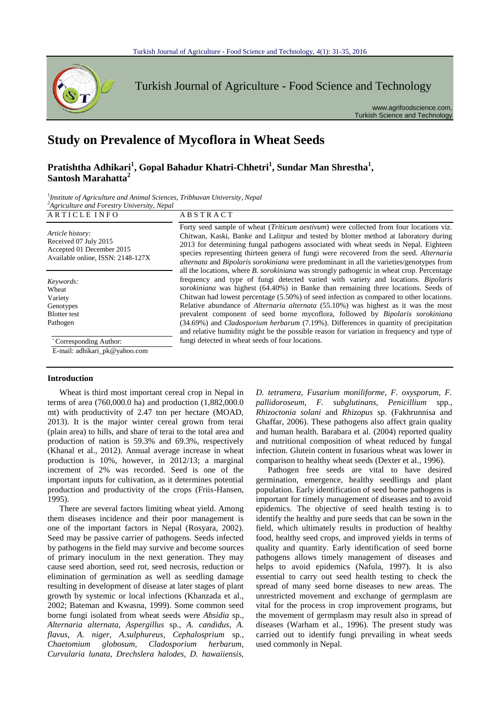

Turkish Journal of Agriculture - Food Science and Technology

www.agrifoodscience.com, Turkish Science and Technology

# **Study on Prevalence of Mycoflora in Wheat Seeds**

## Pratishtha Adhikari<sup>1</sup>, Gopal Bahadur Khatri-Chhetri<sup>1</sup>, Sundar Man Shrestha<sup>1</sup>, **Santosh Marahatta<sup>2</sup>**

<sup>1</sup> Institute of Agriculture and Animal Sciences, Tribhuvan University, Nepal *2 Agriculture and Forestry University, Nepal*

ARTICLE INFO ABSTRACT

*Article history:* Received 07 July 2015 Accepted 01 December 2015 Available online, ISSN: 2148-127X

*Keywords:* Wheat Variety Genotypes Blotter test Pathogen

> \* Corresponding Author: E-mail: adhikari\_pk@yahoo.com

#### **Introduction**

Wheat is third most important cereal crop in Nepal in terms of area (760,000.0 ha) and production (1,882,000.0 mt) with productivity of 2.47 ton per hectare (MOAD, 2013). It is the major winter cereal grown from terai (plain area) to hills, and share of terai to the total area and production of nation is 59.3% and 69.3%, respectively (Khanal et al., 2012). Annual average increase in wheat production is 10%, however, in 2012/13; a marginal increment of 2% was recorded. Seed is one of the important inputs for cultivation, as it determines potential production and productivity of the crops (Friis-Hansen, 1995).

There are several factors limiting wheat yield. Among them diseases incidence and their poor management is one of the important factors in Nepal (Rosyara, 2002). Seed may be passive carrier of pathogens. Seeds infected by pathogens in the field may survive and become sources of primary inoculum in the next generation. They may cause seed abortion, seed rot, seed necrosis, reduction or elimination of germination as well as seedling damage resulting in development of disease at later stages of plant growth by systemic or local infections (Khanzada et al., 2002; Bateman and Kwasna, 1999). Some common seed borne fungi isolated from wheat seeds were *Absidia* sp*., Alternaria alternata, Aspergillus* sp*., A. candidus, A. flavus, A. niger, A.sulphureus, Cephalosprium* sp*., Chaetomium globosum, Cladosporium herbarum, Curvularia lunata, Drechslera halodes, D. hawaiiensis,* 

Forty seed sample of wheat (*Triticum aestivum*) were collected from four locations viz. Chitwan, Kaski, Banke and Lalitpur and tested by blotter method at laboratory during 2013 for determining fungal pathogens associated with wheat seeds in Nepal. Eighteen species representing thirteen genera of fungi were recovered from the seed. *Alternaria alternata* and *Bipolaris sorokiniana* were predominant in all the varieties/genotypes from all the locations, where *B. sorokiniana* was strongly pathogenic in wheat crop. Percentage frequency and type of fungi detected varied with variety and locations. *Bipolaris sorokiniana* was highest (64.40%) in Banke than remaining three locations. Seeds of Chitwan had lowest percentage (5.50%) of seed infection as compared to other locations. Relative abundance of *Alternaria alternata* (55.10%) was highest as it was the most prevalent component of seed borne mycoflora, followed by *Bipolaris sorokiniana* (34.69%) and *Cladosporium herbarum* (7.19%). Differences in quantity of precipitation and relative humidity might be the possible reason for variation in frequency and type of fungi detected in wheat seeds of four locations.

> *D. tetramera, Fusarium moniliforme, F. oxysporum, F. pallidoroseum, F. subglutinans, Penicillium* spp*., Rhizoctonia solani* and *Rhizopus* sp. (Fakhrunnisa and Ghaffar, 2006). These pathogens also affect grain quality and human health. Barabara et al. (2004) reported quality and nutritional composition of wheat reduced by fungal infection. Glutein content in fusarious wheat was lower in comparison to healthy wheat seeds (Dexter et al.*,* 1996).

> Pathogen free seeds are vital to have desired germination, emergence, healthy seedlings and plant population. Early identification of seed borne pathogens is important for timely management of diseases and to avoid epidemics. The objective of seed health testing is to identify the healthy and pure seeds that can be sown in the field, which ultimately results in production of healthy food, healthy seed crops, and improved yields in terms of quality and quantity. Early identification of seed borne pathogens allows timely management of diseases and helps to avoid epidemics (Nafula, 1997). It is also essential to carry out seed health testing to check the spread of many seed borne diseases to new areas. The unrestricted movement and exchange of germplasm are vital for the process in crop improvement programs, but the movement of germplasm may result also in spread of diseases (Warham et al.*,* 1996). The present study was carried out to identify fungi prevailing in wheat seeds used commonly in Nepal.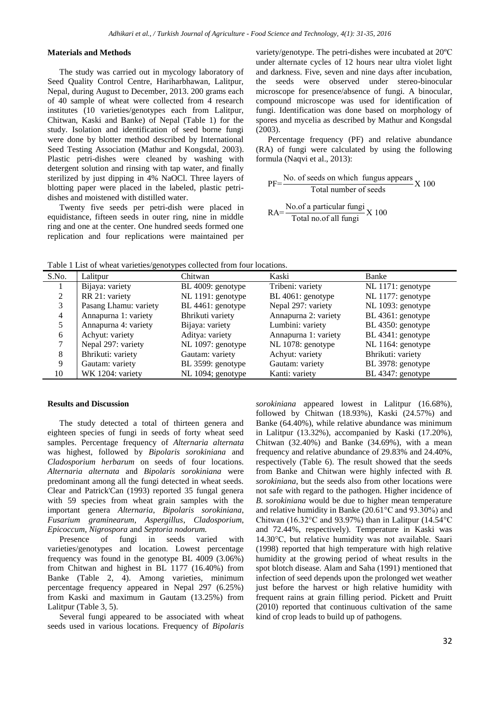#### **Materials and Methods**

The study was carried out in mycology laboratory of Seed Quality Control Centre, Hariharbhawan, Lalitpur, Nepal, during August to December, 2013. 200 grams each of 40 sample of wheat were collected from 4 research institutes (10 varieties/genotypes each from Lalitpur, Chitwan, Kaski and Banke) of Nepal (Table 1) for the study. Isolation and identification of seed borne fungi were done by blotter method described by International Seed Testing Association (Mathur and Kongsdal, 2003). Plastic petri-dishes were cleaned by washing with detergent solution and rinsing with tap water, and finally sterilized by just dipping in 4% NaOCl. Three layers of blotting paper were placed in the labeled, plastic petridishes and moistened with distilled water.

Twenty five seeds per petri-dish were placed in equidistance, fifteen seeds in outer ring, nine in middle ring and one at the center. One hundred seeds formed one replication and four replications were maintained per variety/genotype. The petri-dishes were incubated at 20ºC under alternate cycles of 12 hours near ultra violet light and darkness. Five, seven and nine days after incubation, the seeds were observed under stereo-binocular microscope for presence/absence of fungi. A binocular, compound microscope was used for identification of fungi. Identification was done based on morphology of spores and mycelia as described by Mathur and Kongsdal (2003).

Percentage frequency (PF) and relative abundance (RA) of fungi were calculated by using the following formula (Naqvi et al., 2013):

 $PF=\frac{No. of seeds on which fungus appears}{Total number of seeds}X100$ 

RA= No.of a particular fungi Total no.of all fungi X 100

Table 1 List of wheat varieties/genotypes collected from four locations.

| S.No.          | Lalitpur              | Chitwan           | Kaski                | Banke             |
|----------------|-----------------------|-------------------|----------------------|-------------------|
|                | Bijaya: variety       | BL 4009: genotype | Tribeni: variety     | NL 1171: genotype |
|                | RR 21: variety        | NL 1191: genotype | BL 4061: genotype    | NL 1177: genotype |
|                | Pasang Lhamu: variety | BL 4461: genotype | Nepal 297: variety   | NL 1093: genotype |
| $\overline{4}$ | Annapurna 1: variety  | Bhrikuti variety  | Annapurna 2: variety | BL 4361: genotype |
|                | Annapurna 4: variety  | Bijaya: variety   | Lumbini: variety     | BL 4350: genotype |
| 6              | Achyut: variety       | Aditya: variety   | Annapurna 1: variety | BL 4341: genotype |
|                | Nepal 297: variety    | NL 1097: genotype | NL 1078: genotype    | NL 1164: genotype |
| 8              | Bhrikuti: variety     | Gautam: variety   | Achyut: variety      | Bhrikuti: variety |
| 9              | Gautam: variety       | BL 3599: genotype | Gautam: variety      | BL 3978: genotype |
| 10             | WK 1204: variety      | NL 1094; genotype | Kanti: variety       | BL 4347: genotype |

#### **Results and Discussion**

The study detected a total of thirteen genera and eighteen species of fungi in seeds of forty wheat seed samples. Percentage frequency of *Alternaria alternata* was highest, followed by *Bipolaris sorokiniana* and *Cladosporium herbarum* on seeds of four locations. *Alternaria alternata* and *Bipolaris sorokiniana* were predominant among all the fungi detected in wheat seeds. Clear and Patrick'Can (1993) reported 35 fungal genera with 59 species from wheat grain samples with the important genera *Alternaria*, *Bipolaris sorokiniana*, *Fusarium graminearum, Aspergillus*, *Cladosporium*, *Epicoccum, Nigrospora* and *Septoria nodorum.*

Presence of fungi in seeds varied with varieties/genotypes and location. Lowest percentage frequency was found in the genotype BL 4009 (3.06%) from Chitwan and highest in BL 1177 (16.40%) from Banke (Table 2, 4). Among varieties, minimum percentage frequency appeared in Nepal 297 (6.25%) from Kaski and maximum in Gautam (13.25%) from Lalitpur (Table 3, 5).

Several fungi appeared to be associated with wheat seeds used in various locations. Frequency of *Bipolaris*  *sorokiniana* appeared lowest in Lalitpur (16.68%), followed by Chitwan (18.93%), Kaski (24.57%) and Banke (64.40%), while relative abundance was minimum in Lalitpur (13.32%), accompanied by Kaski (17.20%), Chitwan (32.40%) and Banke (34.69%), with a mean frequency and relative abundance of 29.83% and 24.40%, respectively (Table 6). The result showed that the seeds from Banke and Chitwan were highly infected with *B. sorokiniana*, but the seeds also from other locations were not safe with regard to the pathogen. Higher incidence of *B. sorokiniana* would be due to higher mean temperature and relative humidity in Banke (20.61°C and 93.30%) and Chitwan (16.32 $^{\circ}$ C and 93.97%) than in Lalitpur (14.54 $^{\circ}$ C and 72.44%, respectively). Temperature in Kaski was 14.30°C, but relative humidity was not available. Saari (1998) reported that high temperature with high relative humidity at the growing period of wheat results in the spot blotch disease. Alam and Saha (1991) mentioned that infection of seed depends upon the prolonged wet weather just before the harvest or high relative humidity with frequent rains at grain filling period. Pickett and Pruitt (2010) reported that continuous cultivation of the same kind of crop leads to build up of pathogens.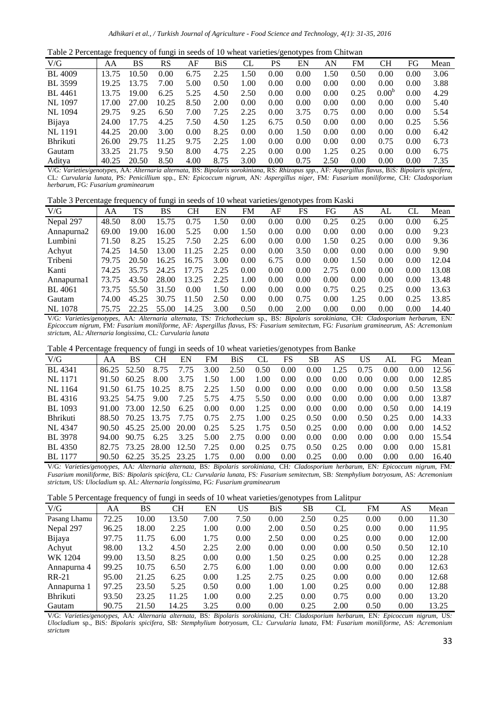|  |  | Table 2 Percentage frequency of fungi in seeds of 10 wheat varieties/genotypes from Chitwan |  |
|--|--|---------------------------------------------------------------------------------------------|--|
|  |  |                                                                                             |  |

|                 | ັ     |       | ັ     |      |      |      | ັ    | . .  |      |      |                   |      |      |
|-----------------|-------|-------|-------|------|------|------|------|------|------|------|-------------------|------|------|
| V/G             | AΑ    | BS    | RS    | AF   | BiS  | CL   | PS   | EN   | AN   | FM   | CН                | FG   | Mean |
| <b>BL</b> 4009  | 13.75 | 10.50 | 0.00  | 6.75 | 2.25 | 1.50 | 0.00 | 0.00 | 1.50 | 0.50 | 0.00              | 0.00 | 3.06 |
| <b>BL</b> 3599  | 19.25 | 13.75 | 7.00  | 5.00 | 0.50 | 1.00 | 0.00 | 0.00 | 0.00 | 0.00 | 0.00              | 0.00 | 3.88 |
| BL 4461         | 13.75 | 19.00 | 6.25  | 5.25 | 4.50 | 2.50 | 0.00 | 0.00 | 0.00 | 0.25 | 0.00 <sup>b</sup> | 0.00 | 4.29 |
| NL 1097         | 17.00 | 27.00 | 10.25 | 8.50 | 2.00 | 0.00 | 0.00 | 0.00 | 0.00 | 0.00 | 0.00              | 0.00 | 5.40 |
| NL 1094         | 29.75 | 9.25  | 6.50  | 7.00 | 7.25 | 2.25 | 0.00 | 3.75 | 0.75 | 0.00 | 0.00              | 0.00 | 5.54 |
| Bijaya          | 24.00 | 17.75 | 4.25  | 7.50 | 4.50 | 1.25 | 6.75 | 0.50 | 0.00 | 0.00 | 0.00              | 0.25 | 5.56 |
| <b>NL</b> 1191  | 44.25 | 20.00 | 3.00  | 0.00 | 8.25 | 0.00 | 0.00 | 1.50 | 0.00 | 0.00 | 0.00              | 0.00 | 6.42 |
| <b>Bhrikuti</b> | 26.00 | 29.75 | 11.25 | 9.75 | 2.25 | 1.00 | 0.00 | 0.00 | 0.00 | 0.00 | 0.75              | 0.00 | 6.73 |
| Gautam          | 33.25 | 21.75 | 9.50  | 8.00 | 4.75 | 2.25 | 0.00 | 0.00 | 1.25 | 0.25 | 0.00              | 0.00 | 6.75 |
| Aditya          | 40.25 | 20.50 | 8.50  | 4.00 | 8.75 | 3.00 | 0.00 | 0.75 | 2.50 | 0.00 | 0.00              | 0.00 | 7.35 |

V/G*: Varieties/genotypes,* AA: *Alternaria alternata,* BS: *Bipolaris sorokiniana,* RS: *Rhizopus spp.,* AF*: Aspergillus flavus,* BiS*: Bipolaris spicifera,*  CL*: Curvularia lunata,* PS*: Penicillium* spp*.,* EN*: Epicoccum nigrum,* AN*: Aspergillus niger,* FM*: Fusarium moniliforme,* CH*: Cladosporium herbarum,* FG*: Fusarium graminearum*

Table 3 Percentage frequency of fungi in seeds of 10 wheat varieties/genotypes from Kaski

| V/G            | AA    | TS    | BS    | CН    | EN   | FM   | AF   | FS   | FG   | AS   | AL   | CL   | Mean  |
|----------------|-------|-------|-------|-------|------|------|------|------|------|------|------|------|-------|
| Nepal 297      | 48.50 | 8.00  | 15.75 | 0.75  | 1.50 | 0.00 | 0.00 | 0.00 | 0.25 | 0.25 | 0.00 | 0.00 | 6.25  |
| Annapurna2     | 69.00 | 19.00 | 16.00 | 5.25  | 0.00 | 1.50 | 0.00 | 0.00 | 0.00 | 0.00 | 0.00 | 0.00 | 9.23  |
| Lumbini        | 71.50 | 8.25  | 15.25 | 7.50  | 2.25 | 6.00 | 0.00 | 0.00 | 1.50 | 0.25 | 0.00 | 0.00 | 9.36  |
| Achyut         | 74.25 | 14.50 | 13.00 | 11.25 | 2.25 | 0.00 | 0.00 | 3.50 | 0.00 | 0.00 | 0.00 | 0.00 | 9.90  |
| Tribeni        | 79.75 | 20.50 | 16.25 | 16.75 | 3.00 | 0.00 | 6.75 | 0.00 | 0.00 | 1.50 | 0.00 | 0.00 | 12.04 |
| Kanti          | 74.25 | 35.75 | 24.25 | 17.75 | 2.25 | 0.00 | 0.00 | 0.00 | 2.75 | 0.00 | 0.00 | 0.00 | 13.08 |
| Annapurnal     | 73.75 | 43.50 | 28.00 | 13.25 | 2.25 | 1.00 | 0.00 | 0.00 | 0.00 | 0.00 | 0.00 | 0.00 | 13.48 |
| <b>BL</b> 4061 | 73.75 | 55.50 | 31.50 | 0.00  | 1.50 | 0.00 | 0.00 | 0.00 | 0.75 | 0.25 | 0.25 | 0.00 | 13.63 |
| Gautam         | 74.00 | 45.25 | 30.75 | 11.50 | 2.50 | 0.00 | 0.00 | 0.75 | 0.00 | 1.25 | 0.00 | 0.25 | 13.85 |
| <b>NL</b> 1078 | 75.75 | 22.25 | 55.00 | 14.25 | 3.00 | 0.50 | 0.00 | 2.00 | 0.00 | 0.00 | 0.00 | 0.00 | 14.40 |

V/G*: Varieties/genotypes,* AA*: Alternaria alternata,* TS*: Trichothecium* sp., BS*: Bipolaris sorokiniana,* CH*: Cladosporium herbarum,* EN*: Epicoccum nigrum,* FM*: Fusarium moniliforme,* AF*: Aspergillus flavus,* FS*: Fusarium semitectum,* FG*: Fusarium graminearum,* AS*: Acremonium strictum,* AL*: Alternaria longissima,* CL*: Curvularia lunata* 

Table 4 Percentage frequency of fungi in seeds of 10 wheat varieties/genotypes from Banke

| V/G             | ΑA     | BS          | CН          | EN    | FM.  | BiS  | CL   | FS   | SВ   | AS   | US   | AL   | FG   | Mean  |
|-----------------|--------|-------------|-------------|-------|------|------|------|------|------|------|------|------|------|-------|
| BL 4341         | 86.25  | 52.50       | 8.75        | 7.75  | 3.00 | 2.50 | 0.50 | 0.00 | 0.00 | 1.25 | 0.75 | 0.00 | 0.00 | 12.56 |
| NL 1171         | 91.50  | 60.25       | 8.00        | 3.75  | 1.50 | 1.00 | 1.00 | 0.00 | 0.00 | 0.00 | 0.00 | 0.00 | 0.00 | 12.85 |
| NL 1164         | 91.50  | 61.75       | 10.25       | 8.75  | 2.25 | 1.50 | 0.00 | 0.00 | 0.00 | 0.00 | 0.00 | 0.00 | 0.50 | 13.58 |
| BL 4316         | 93.25  | 54.75       | 9.00        | 7.25  | 5.75 | 4.75 | 5.50 | 0.00 | 0.00 | 0.00 | 0.00 | 0.00 | 0.00 | 13.87 |
| BL 1093         | 91.00  | 73.00       | 12.50       | 6.25  | 0.00 | 0.00 | 1.25 | 0.00 | 0.00 | 0.00 | 0.00 | 0.50 | 0.00 | 14.19 |
| <b>Bhrikuti</b> | 88.50  | 70.25 13.75 |             | 7.75  | 0.75 | 2.75 | 1.00 | 0.25 | 0.50 | 0.00 | 0.50 | 0.25 | 0.00 | 14.33 |
| NL 4347         | 90.50  |             | 45.25 25.00 | 20.00 | 0.25 | 5.25 | 1.75 | 0.50 | 0.25 | 0.00 | 0.00 | 0.00 | 0.00 | 14.52 |
| BL 3978         | 94.00. | 90.75       | 6.25        | 3.25  | 5.00 | 2.75 | 0.00 | 0.00 | 0.00 | 0.00 | 0.00 | 0.00 | 0.00 | 15.54 |
| BL 4350         | 82.75  | 73.25       | -28.00      | 12.50 | 7.25 | 0.00 | 0.25 | 0.75 | 0.50 | 0.25 | 0.00 | 0.00 | 0.00 | 15.81 |
| <b>BL</b> 1177  | 90.50  | 62.25 35.25 |             | 23.25 | 175  | 0.00 | 0.00 | 0.00 | 0.25 | 0.00 | 0.00 | 0.00 | 0.00 | 16.40 |

V/G*: Varieties/genotypes,* AA*: Alternaria alternata,* BS*: Bipolaris sorokiniana,* CH*: Cladosporium herbarum,* EN*: Epicoccum nigrum,* FM*: Fusarium moniliforme,* BiS*: Bipolaris spicifera,* CL*: Curvularia lunata,* FS*: Fusarium semitectum,* SB*: Stemphylium botryosum,* AS*: Acremonium strictum,* US*: Ulocladium* sp. AL*: Alternaria longissima,* FG*: Fusarium graminearum* 

| Table 5 Percentage frequency of fungi in seeds of 10 wheat varieties/genotypes from Lalitpur |  |  |  |
|----------------------------------------------------------------------------------------------|--|--|--|
|                                                                                              |  |  |  |

|                 | ັ     |       | ັ     |      |      |            | $\sqrt{1}$ |      |      |      |       |
|-----------------|-------|-------|-------|------|------|------------|------------|------|------|------|-------|
| V/G             | AA    | BS    | CН    | EN   | US   | <b>BiS</b> | SВ         | CL   | FM   | AS   | Mean  |
| Pasang Lhamu    | 72.25 | 10.00 | 13.50 | 7.00 | 7.50 | 0.00       | 2.50       | 0.25 | 0.00 | 0.00 | 11.30 |
| Nepal 297       | 96.25 | 18.00 | 2.25  | 1.00 | 0.00 | 2.00       | 0.50       | 0.25 | 0.00 | 0.00 | 11.95 |
| Bijaya          | 97.75 | 11.75 | 6.00  | 1.75 | 0.00 | 2.50       | 0.00       | 0.25 | 0.00 | 0.00 | 12.00 |
| Achyut          | 98.00 | 13.2  | 4.50  | 2.25 | 2.00 | 0.00       | 0.00       | 0.00 | 0.50 | 0.50 | 12.10 |
| WK 1204         | 99.00 | 13.50 | 8.25  | 0.00 | 0.00 | 1.50       | 0.25       | 0.00 | 0.25 | 0.00 | 12.28 |
| Annapurna 4     | 99.25 | 10.75 | 6.50  | 2.75 | 6.00 | 1.00       | 0.00       | 0.00 | 0.00 | 0.00 | 12.63 |
| $RR-21$         | 95.00 | 21.25 | 6.25  | 0.00 | 1.25 | 2.75       | 0.25       | 0.00 | 0.00 | 0.00 | 12.68 |
| Annapurna 1     | 97.25 | 23.50 | 5.25  | 0.50 | 0.00 | 1.00       | 1.00       | 0.25 | 0.00 | 0.00 | 12.88 |
| <b>Bhrikuti</b> | 93.50 | 23.25 | 11.25 | 1.00 | 0.00 | 2.25       | 0.00       | 0.75 | 0.00 | 0.00 | 13.20 |
| Gautam          | 90.75 | 21.50 | 14.25 | 3.25 | 0.00 | 0.00       | 0.25       | 2.00 | 0.50 | 0.00 | 13.25 |

V/G: *Varieties/genotypes,* AA*: Alternaria alternata,* BS*: Bipolaris sorokiniana,* CH*: Cladosporium herbarum,* EN*: Epicoccum nigrum,* US*: Ulocladium* sp., BiS*: Bipolaris spicifera,* SB*: Stemphylium botryosum,* CL*: Curvularia lunata,* FM*: Fusarium moniliforme,* AS*: Acremonium strictum*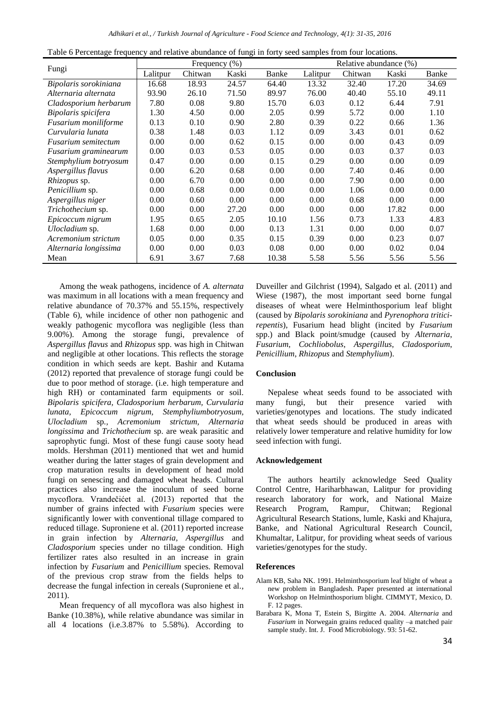Table 6 Percentage frequency and relative abundance of fungi in forty seed samples from four locations.

|                            |          | Frequency $(\% )$ |       |       |          | Relative abundance (%) |       |       |
|----------------------------|----------|-------------------|-------|-------|----------|------------------------|-------|-------|
| Fungi                      | Lalitpur | Chitwan           | Kaski | Banke | Lalitpur | Chitwan                | Kaski | Banke |
| Bipolaris sorokiniana      | 16.68    | 18.93             | 24.57 | 64.40 | 13.32    | 32.40                  | 17.20 | 34.69 |
| Alternaria alternata       | 93.90    | 26.10             | 71.50 | 89.97 | 76.00    | 40.40                  | 55.10 | 49.11 |
| Cladosporium herbarum      | 7.80     | 0.08              | 9.80  | 15.70 | 6.03     | 0.12                   | 6.44  | 7.91  |
| Bipolaris spicifera        | 1.30     | 4.50              | 0.00  | 2.05  | 0.99     | 5.72                   | 0.00  | 1.10  |
| Fusarium moniliforme       | 0.13     | 0.10              | 0.90  | 2.80  | 0.39     | 0.22                   | 0.66  | 1.36  |
| Curvularia lunata          | 0.38     | 1.48              | 0.03  | 1.12  | 0.09     | 3.43                   | 0.01  | 0.62  |
| <b>Fusarium semitectum</b> | 0.00     | 0.00              | 0.62  | 0.15  | 0.00     | 0.00                   | 0.43  | 0.09  |
| Fusarium graminearum       | 0.00     | 0.03              | 0.53  | 0.05  | 0.00     | 0.03                   | 0.37  | 0.03  |
| Stemphylium botryosum      | 0.47     | 0.00              | 0.00  | 0.15  | 0.29     | 0.00                   | 0.00  | 0.09  |
| Aspergillus flavus         | 0.00     | 6.20              | 0.68  | 0.00  | 0.00     | 7.40                   | 0.46  | 0.00  |
| Rhizopus sp.               | 0.00     | 6.70              | 0.00  | 0.00  | 0.00     | 7.90                   | 0.00  | 0.00  |
| Penicillium sp.            | 0.00     | 0.68              | 0.00  | 0.00  | 0.00     | 1.06                   | 0.00  | 0.00  |
| Aspergillus niger          | 0.00     | 0.60              | 0.00  | 0.00  | 0.00     | 0.68                   | 0.00  | 0.00  |
| Trichothecium sp.          | 0.00     | 0.00              | 27.20 | 0.00  | 0.00     | 0.00                   | 17.82 | 0.00  |
| Epicoccum nigrum           | 1.95     | 0.65              | 2.05  | 10.10 | 1.56     | 0.73                   | 1.33  | 4.83  |
| Ulocladium sp.             | 1.68     | 0.00              | 0.00  | 0.13  | 1.31     | 0.00                   | 0.00  | 0.07  |
| Acremonium strictum        | 0.05     | 0.00              | 0.35  | 0.15  | 0.39     | 0.00                   | 0.23  | 0.07  |
| Alternaria longissima      | 0.00     | 0.00              | 0.03  | 0.08  | 0.00     | 0.00                   | 0.02  | 0.04  |
| Mean                       | 6.91     | 3.67              | 7.68  | 10.38 | 5.58     | 5.56                   | 5.56  | 5.56  |

Among the weak pathogens, incidence of *A. alternata* was maximum in all locations with a mean frequency and relative abundance of 70.37% and 55.15%, respectively (Table 6), while incidence of other non pathogenic and weakly pathogenic mycoflora was negligible (less than 9.00%). Among the storage fungi, prevalence of *Aspergillus flavus* and *Rhizopus* spp. was high in Chitwan and negligible at other locations. This reflects the storage condition in which seeds are kept. Bashir and Kutama (2012) reported that prevalence of storage fungi could be due to poor method of storage. (i.e. high temperature and high RH) or contaminated farm equipments or soil. *Bipolaris spicifera, Cladosporium herbarum, Curvularia lunata, Epicoccum nigrum, Stemphyliumbotryosum, Ulocladium* sp*., Acremonium strictum, Alternaria longissima* and *Trichothecium* sp. are weak parasitic and saprophytic fungi. Most of these fungi cause sooty head molds. Hershman (2011) mentioned that wet and humid weather during the latter stages of grain development and crop maturation results in development of head mold fungi on senescing and damaged wheat heads. Cultural practices also increase the inoculum of seed borne mycoflora. Vrandečićet al. (2013) reported that the number of grains infected with *Fusarium* species were significantly lower with conventional tillage compared to reduced tillage. Suproniene et al. (2011) reported increase in grain infection by *Alternaria, Aspergillus* and *Cladosporium* species under no tillage condition. High fertilizer rates also resulted in an increase in grain infection by *Fusarium* and *Penicillium* species. Removal of the previous crop straw from the fields helps to decrease the fungal infection in cereals (Suproniene et al.*,* 2011).

Mean frequency of all mycoflora was also highest in Banke (10.38%), while relative abundance was similar in all 4 locations (i.e.3.87% to 5.58%). According to Duveiller and Gilchrist (1994), Salgado et al. (2011) and Wiese (1987), the most important seed borne fungal diseases of wheat were Helminthosporium leaf blight (caused by *Bipolaris sorokiniana* and *Pyrenophora triticirepentis*), Fusarium head blight (incited by *Fusarium*  spp.) and Black point/smudge (caused by *Alternaria*, *Fusarium*, *Cochliobolus*, *Aspergillus*, *Cladosporium*, *Penicillium*, *Rhizopus* and *Stemphylium*).

### **Conclusion**

Nepalese wheat seeds found to be associated with many fungi, but their presence varied with varieties/genotypes and locations. The study indicated that wheat seeds should be produced in areas with relatively lower temperature and relative humidity for low seed infection with fungi.

#### **Acknowledgement**

The authors heartily acknowledge Seed Quality Control Centre, Hariharbhawan, Lalitpur for providing research laboratory for work, and National Maize Research Program, Rampur, Chitwan; Regional Agricultural Research Stations, lumle, Kaski and Khajura, Banke, and National Agricultural Research Council, Khumaltar, Lalitpur, for providing wheat seeds of various varieties/genotypes for the study.

#### **References**

- Alam KB, Saha NK. 1991. Helminthosporium leaf blight of wheat a new problem in Bangladesh. Paper presented at international Workshop on Helminthosporium blight. CIMMYT, Mexico, D. F. 12 pages.
- Barabara K, Mona T, Estein S, Birgitte A. 2004. *Alternaria* and *Fusarium* in Norwegain grains reduced quality –a matched pair sample study. Int. J. Food Microbiology. 93: 51-62.